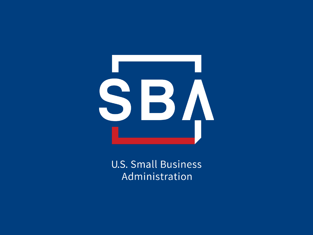

**U.S. Small Business** Administration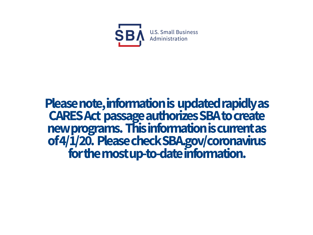

# **Please note, information is updated rapidly as**  new programs. This information is current as **of 4/1/20. Please check SBA.gov/coronavirus for the most up-to-date information.**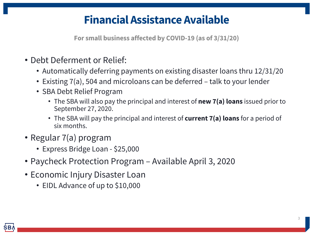### **Financial Assistance Available**

**For small business affected by COVID-19 (as of 3/31/20)**

- Debt Deferment or Relief:
	- Automatically deferring payments on existing disaster loans thru 12/31/20
	- Existing 7(a), 504 and microloans can be deferred talk to your lender
	- SBA Debt Relief Program
		- The SBA will also pay the principal and interest of **new 7(a) loans** issued prior to September 27, 2020.
		- The SBA will pay the principal and interest of **current 7(a) loans** for a period of six months.
- Regular 7(a) program
	- Express Bridge Loan \$25,000
- Paycheck Protection Program Available April 3, 2020
- Economic Injury Disaster Loan
	- EIDL Advance of up to \$10,000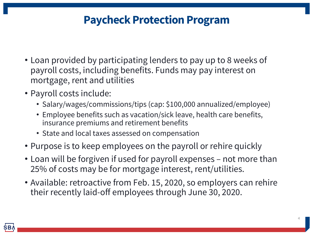### **Paycheck Protection Program**

- Loan provided by participating lenders to pay up to 8 weeks of payroll costs, including benefits. Funds may pay interest on mortgage, rent and utilities
- Payroll costs include:
	- Salary/wages/commissions/tips (cap: \$100,000 annualized/employee)
	- Employee benefits such as vacation/sick leave, health care benefits, insurance premiums and retirement benefits
	- State and local taxes assessed on compensation
- Purpose is to keep employees on the payroll or rehire quickly
- Loan will be forgiven if used for payroll expenses not more than 25% of costs may be for mortgage interest, rent/utilities.
- Available: retroactive from Feb. 15, 2020, so employers can rehire their recently laid-off employees through June 30, 2020.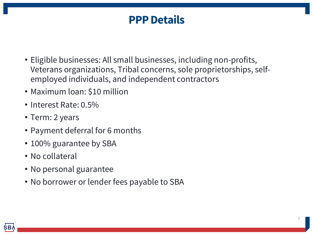#### **PPP Details**

- Eligible businesses: All small businesses, including non-profits, Veterans organizations, Tribal concerns, sole proprietorships, selfemployed individuals, and independent contractors
- Maximum loan: \$10 million
- Interest Rate: 0.5%
- Term: 2 years
- Payment deferral for 6 months
- 100% guarantee by SBA
- No collateral
- No personal guarantee
- No borrower or lender fees payable to SBA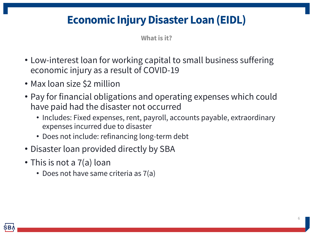# **Economic Injury Disaster Loan (EIDL)**

**What is it?**

- Low-interest loan for working capital to small business suffering economic injury as a result of COVID-19
- Max loan size \$2 million
- Pay for financial obligations and operating expenses which could have paid had the disaster not occurred
	- Includes: Fixed expenses, rent, payroll, accounts payable, extraordinary expenses incurred due to disaster
	- Does not include: refinancing long-term debt
- Disaster loan provided directly by SBA
- This is not a 7(a) loan
	- Does not have same criteria as 7(a)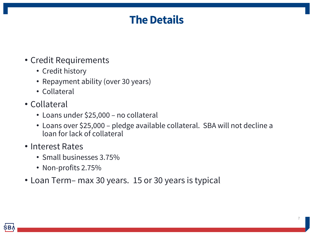### **The Details**

#### • Credit Requirements

- Credit history
- Repayment ability (over 30 years)
- Collateral
- Collateral
	- Loans under \$25,000 no collateral
	- Loans over \$25,000 pledge available collateral. SBA will not decline a loan for lack of collateral
- Interest Rates
	- Small businesses 3.75%
	- Non-profits 2.75%
- Loan Term– max 30 years. 15 or 30 years is typical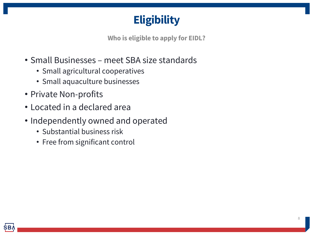### **Eligibility**

**Who is eligible to apply for EIDL?**

- Small Businesses meet SBA size standards
	- Small agricultural cooperatives
	- Small aquaculture businesses
- Private Non-profits
- Located in a declared area
- Independently owned and operated
	- Substantial business risk
	- Free from significant control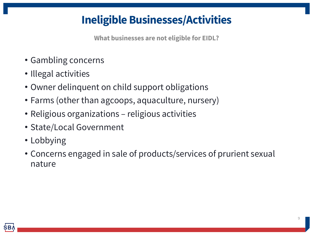# **Ineligible Businesses/Activities**

**What businesses are not eligible for EIDL?**

- Gambling concerns
- Illegal activities
- Owner delinquent on child support obligations
- Farms (other than agcoops, aquaculture, nursery)
- Religious organizations religious activities
- State/Local Government
- Lobbying
- Concerns engaged in sale of products/services of prurient sexual nature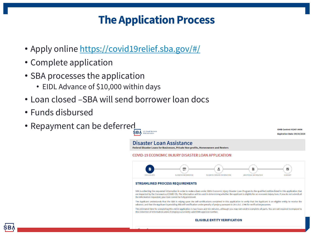# **The Application Process**

- Apply online https://covid19relief.sba.gov/#/
- Complete application
- SBA processes the application
	- EIDL Advance of \$10,000 within days
- Loan closed –SBA will send borrower loan docs
- Funds disbursed
- Repayment can be deferred

Disaster Loan Assistance

Federal Disaster Loans for Businesses, Private Non-profits, Homeowners and Renters

COVID-19 ECONOMIC INJURY DISASTER LOAN APPLICATION



#### **STREAMLINED PROCESS REQUIREMENTS**

SBA is collecting the requested information in order to make a loan under SBA's Economic Injury Disaster Loan Program to the qualified are impacted by the Coronavirus (COVID-19). The information will be used in determining whether the applicant is eligible for an econom the information requested, your loan cannot be fully processed.

The Applicant understands that the SBA is relying upon the self-certifications contained in this application to verify that the Applica advance, and that the Applicant is providing this self-certification under penalty of perjury pursuant to 28 U.S.C. 1746 for verification purp The estimated time for completing this entire application is two hours and ten minutes, although you may not need to complete all par this collection of information unless it displays a currently valid OMB approval number.

#### **ELIGIBLE ENTITY VERIFICATION**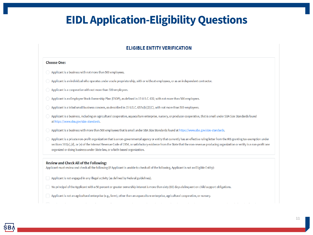## **EIDL Application-Eligibility Questions**

#### **ELIGIBLE ENTITY VERIFICATION**

#### **Choose One:**

- $\bigcirc$  Applicant is a business with not more than 500 employees.
- $\supset$  Applicant is an individual who operates under a sole proprietorship, with or without employees, or as an independent contractor.
- $\bigcirc$  Applicant is a cooperative with not more than 500 employees.
- Applicant is an Employee Stock Ownership Plan (ESOP), as defined in 15 U.S.C. 632, with not more than 500 employees.
- Applicant is a tribal small business concern, as described in 15 U.S.C. 657a(b)(2)(C), with not more than 500 employees.
- Applicant is a business, including an agricultural cooperative, aquaculture enterprise, nursery, or producer cooperative, that is small under SBA Size Standards found at https://www.sba.gov/size-standards.
- Applicant is a business with more than 500 employees that is small under SBA Size Standards found at https://www.sba.gov/size-standards.
- Applicant is a private non-profit organization that is a non-governmental agency or entity that currently has an effective ruling letter from the IRS granting tax exemption under sections 501(c),(d), or (e) of the Internal Revenue Code of 1954, or satisfactory evidence from the State that the non-revenue producing organization or entity is a non-profit one organized or doing business under State law, or a faith-based organization.

#### **Review and Check All of the Following:**

Applicant must review and check all the following (If Applicant is unable to check all of the following, Applicant is not an Eligible Entity):

- Applicant is not engaged in any illegal activity (as defined by Federal guidelines).
- No principal of the Applicant with a 50 percent or greater ownership interest is more than sixty (60) days delinguent on child support obligations.
- Applicant is not an agricultural enterprise (e.g., farm), other than an aquaculture enterprise, agricultural cooperative, or nursery.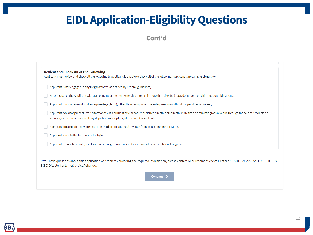# **EIDL Application-Eligibility Questions**

#### Cont'd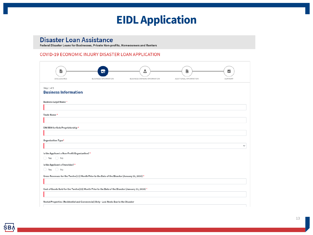#### **EIDL Application**

#### **Disaster Loan Assistance**

Federal Disaster Loans for Businesses, Private Non-profits, Homeowners and Renters

#### COVID-19 ECONOMIC INJURY DISASTER LOAN APPLICATION

| È<br>DISCLOSURES                                                              | ण<br><b>BUSINESS INFORMATION</b>                                                                   | ٠<br>đĩa<br>BUSINESS OWNERS INFORMATION | Ë<br>ADDITIONAL INFORMATION | ☑<br>SUMMARY |
|-------------------------------------------------------------------------------|----------------------------------------------------------------------------------------------------|-----------------------------------------|-----------------------------|--------------|
| Step 1 of 3<br><b>Business Information</b>                                    |                                                                                                    |                                         |                             |              |
| <b>Business Legal Name*</b>                                                   |                                                                                                    |                                         |                             |              |
| Trade Name*                                                                   |                                                                                                    |                                         |                             |              |
| EIN/SSN for Sole Proprietorship*                                              |                                                                                                    |                                         |                             |              |
| Organization Type*                                                            |                                                                                                    |                                         |                             | $\checkmark$ |
| Is the Applicant a Non-Profit Organization? *<br>$\bigcirc$ Yes $\bigcirc$ No |                                                                                                    |                                         |                             |              |
| Is the Applicant a Franchise?*<br>$\bigcirc$ Yes $\bigcirc$ No                | Gross Revenues for the Twelve(12) Month Prior to the Date of the Disaster (January 31, 2020) *     |                                         |                             |              |
|                                                                               | Cost of Goods Sold for the Twelve(12) Month Prior to the Date of the Disaster (January 31, 2020) * |                                         |                             |              |
|                                                                               | Rental Properties (Residential and Commercial) Only - Lost Rents Due to the Disaster               |                                         |                             |              |
|                                                                               |                                                                                                    |                                         |                             |              |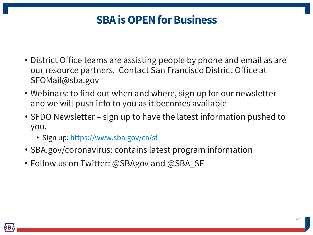# **[SBA is OPEN f](https://www.sba.gov/ca/sf)or Business**

- District Office teams are assisting people by phone and email and our resource partners. Contact San Francisco District Office at SFOMail@sba.gov
- Webinars: to find out when and where, sign up for our newslet and we will push info to you as it becomes available
- SFDO Newsletter sign up to have the latest information push you.
	- Sign up: https://www.sba.gov/ca/sf
- SBA.gov/coronavirus: contains latest program information
- Follow us on Twitter: @SBAgov and @SBA\_SF